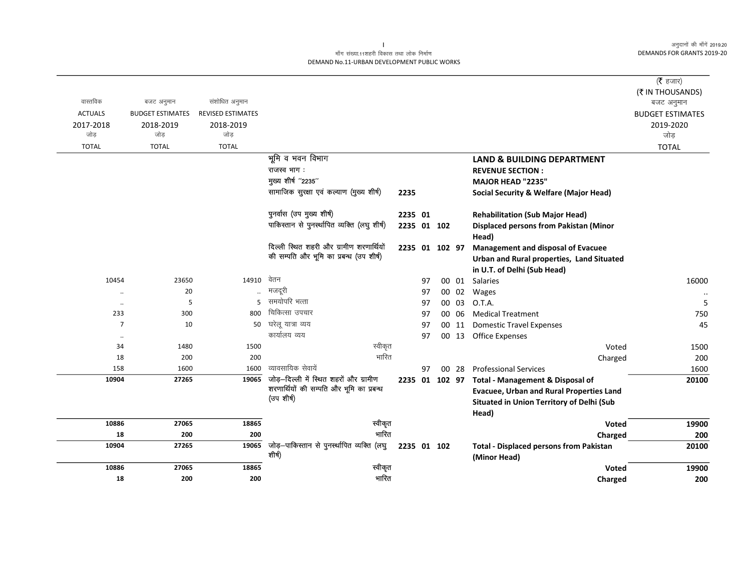## माँग संख्या.11शहरी विकास तथा लोक निर्माण DEMAND No.11-URBAN DEVELOPMENT PUBLIC WORKS

|                      |                         |                          |                                               |                |    |    |       |                                                 | ( $\bar{\tau}$ हजार)    |
|----------------------|-------------------------|--------------------------|-----------------------------------------------|----------------|----|----|-------|-------------------------------------------------|-------------------------|
| वास्तविक             |                         |                          |                                               |                |    |    |       |                                                 | (₹ IN THOUSANDS)        |
|                      | बजट अनुमान              | संशोधित अनुमान           |                                               |                |    |    |       |                                                 | बजट अनुमान              |
| <b>ACTUALS</b>       | <b>BUDGET ESTIMATES</b> | <b>REVISED ESTIMATES</b> |                                               |                |    |    |       |                                                 | <b>BUDGET ESTIMATES</b> |
| 2017-2018<br>जोड     | 2018-2019<br>जोड        | 2018-2019<br>जोड़        |                                               |                |    |    |       |                                                 | 2019-2020<br>जोड़       |
| <b>TOTAL</b>         | <b>TOTAL</b>            | <b>TOTAL</b>             |                                               |                |    |    |       |                                                 | <b>TOTAL</b>            |
|                      |                         |                          | भूमि व भवन विभाग                              |                |    |    |       | <b>LAND &amp; BUILDING DEPARTMENT</b>           |                         |
|                      |                         |                          | राजस्व भाग:                                   |                |    |    |       | <b>REVENUE SECTION:</b>                         |                         |
|                      |                         |                          | मुख्य शीर्ष "2235"                            |                |    |    |       | MAJOR HEAD "2235"                               |                         |
|                      |                         |                          | सामाजिक सुरक्षा एवं कल्याण (मुख्य शीर्ष)      |                |    |    |       |                                                 |                         |
|                      |                         |                          |                                               | 2235           |    |    |       | Social Security & Welfare (Major Head)          |                         |
|                      |                         |                          | पुनर्वास (उप मुख्य शीर्ष)                     | 2235 01        |    |    |       | <b>Rehabilitation (Sub Major Head)</b>          |                         |
|                      |                         |                          | पाकिस्तान से पुनर्स्थापित व्यक्ति (लघु शीर्ष) | 2235 01 102    |    |    |       | <b>Displaced persons from Pakistan (Minor</b>   |                         |
|                      |                         |                          |                                               |                |    |    |       | Head)                                           |                         |
|                      |                         |                          | दिल्ली स्थित शहरी और ग्रामीण शरणार्थियों      | 2235 01 102 97 |    |    |       | <b>Management and disposal of Evacuee</b>       |                         |
|                      |                         |                          | की सम्पति और भूमि का प्रबन्ध (उप शीर्ष)       |                |    |    |       | Urban and Rural properties, Land Situated       |                         |
|                      |                         |                          |                                               |                |    |    |       | in U.T. of Delhi (Sub Head)                     |                         |
| 10454                | 23650                   | 14910                    | वेतन                                          |                | 97 |    | 00 01 | Salaries                                        | 16000                   |
|                      | 20                      |                          | मजदूरी                                        |                | 97 |    | 00 02 | Wages                                           | $\ldots$                |
| $\ddotsc$            | 5                       | 5                        | समयोपरि भत्ता                                 |                | 97 |    | 00 03 | O.T.A.                                          | 5                       |
| 233                  | 300                     | 800                      | चिकित्सा उपचार                                |                | 97 |    | 00 06 | <b>Medical Treatment</b>                        | 750                     |
| $\overline{7}$       | 10                      | 50                       | घरेलू यात्रा व्यय                             |                | 97 | 00 | 11    | <b>Domestic Travel Expenses</b>                 | 45                      |
| $\ddot{\phantom{0}}$ |                         |                          | कार्यालय व्यय                                 |                | 97 | 00 | 13    | Office Expenses                                 |                         |
| 34                   | 1480                    | 1500                     | स्वीकृत                                       |                |    |    |       | Voted                                           | 1500                    |
| 18                   | 200                     | 200                      | भारित                                         |                |    |    |       | Charged                                         | 200                     |
| 158                  | 1600                    | 1600                     | व्यावसायिक सेवायें                            |                | 97 |    | 00 28 | <b>Professional Services</b>                    | 1600                    |
| 10904                | 27265                   | 19065                    | जोड़-दिल्ली में स्थित शहरों और ग्रामीण        |                |    |    |       | 2235 01 102 97 Total - Management & Disposal of | 20100                   |
|                      |                         |                          | शरणार्थियों की सम्पति और भूमि का प्रबन्ध      |                |    |    |       | <b>Evacuee, Urban and Rural Properties Land</b> |                         |
|                      |                         |                          | (उप शीर्ष)                                    |                |    |    |       | Situated in Union Territory of Delhi (Sub       |                         |
|                      |                         |                          |                                               |                |    |    |       | Head)                                           |                         |
| 10886                | 27065                   | 18865                    | स्वीकृत                                       |                |    |    |       | Voted                                           | 19900                   |
| 18                   | 200                     | 200                      | भारित                                         |                |    |    |       | Charged                                         | 200                     |
| 10904                | 27265                   | 19065                    | जोड़-पाकिस्तान से पुनर्स्थापित व्यक्ति (लघु   | 2235 01 102    |    |    |       | <b>Total - Displaced persons from Pakistan</b>  | 20100                   |
|                      |                         |                          | शीर्ष)                                        |                |    |    |       | (Minor Head)                                    |                         |
| 10886                | 27065                   | 18865                    | स्वीकृत                                       |                |    |    |       | <b>Voted</b>                                    | 19900                   |
| 18                   | 200                     | 200                      | भारित                                         |                |    |    |       | Charged                                         | 200                     |

 $\mathbf{L}$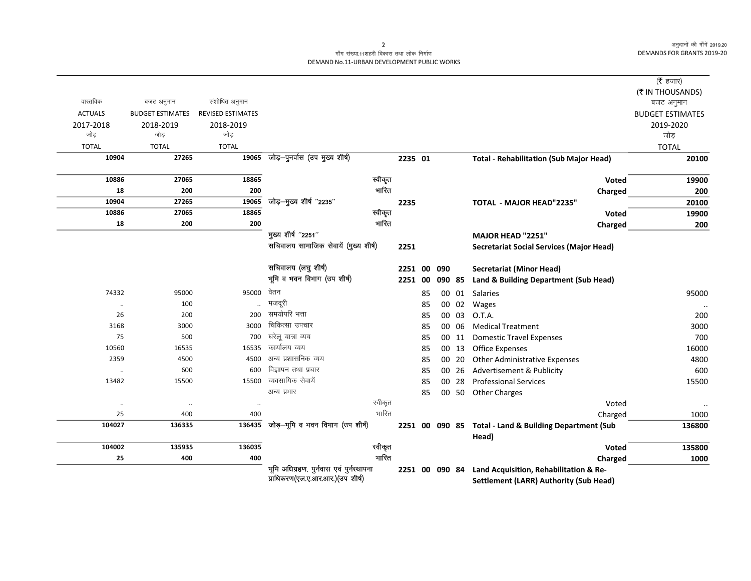## माँग संख्या.11शहरी विकास तथा लोक निर्माण DEMAND No.11-URBAN DEVELOPMENT PUBLIC WORKS

|                                                                                                                                                       |                          |                                                                            |                                                                                                                                                                                                                                                                                       |                                                                                                                         |    |                               |    |                                                                                         | (रै हजार)                                                                         |
|-------------------------------------------------------------------------------------------------------------------------------------------------------|--------------------------|----------------------------------------------------------------------------|---------------------------------------------------------------------------------------------------------------------------------------------------------------------------------------------------------------------------------------------------------------------------------------|-------------------------------------------------------------------------------------------------------------------------|----|-------------------------------|----|-----------------------------------------------------------------------------------------|-----------------------------------------------------------------------------------|
|                                                                                                                                                       |                          |                                                                            |                                                                                                                                                                                                                                                                                       |                                                                                                                         |    |                               |    |                                                                                         | (₹ IN THOUSANDS)                                                                  |
| बजट अनुमान                                                                                                                                            |                          |                                                                            |                                                                                                                                                                                                                                                                                       |                                                                                                                         |    |                               |    |                                                                                         | बजट अनुमान                                                                        |
| <b>BUDGET ESTIMATES</b>                                                                                                                               | <b>REVISED ESTIMATES</b> |                                                                            |                                                                                                                                                                                                                                                                                       |                                                                                                                         |    |                               |    |                                                                                         | <b>BUDGET ESTIMATES</b>                                                           |
| 2018-2019                                                                                                                                             | 2018-2019                |                                                                            |                                                                                                                                                                                                                                                                                       |                                                                                                                         |    |                               |    |                                                                                         | 2019-2020                                                                         |
|                                                                                                                                                       |                          |                                                                            |                                                                                                                                                                                                                                                                                       |                                                                                                                         |    |                               |    |                                                                                         | जोड                                                                               |
| <b>TOTAL</b>                                                                                                                                          | <b>TOTAL</b>             |                                                                            |                                                                                                                                                                                                                                                                                       |                                                                                                                         |    |                               |    |                                                                                         | <b>TOTAL</b>                                                                      |
|                                                                                                                                                       |                          |                                                                            |                                                                                                                                                                                                                                                                                       |                                                                                                                         |    |                               |    | <b>Total - Rehabilitation (Sub Major Head)</b>                                          | 20100                                                                             |
| 27065                                                                                                                                                 | 18865                    |                                                                            | स्वीकृत                                                                                                                                                                                                                                                                               |                                                                                                                         |    |                               |    | <b>Voted</b>                                                                            | 19900                                                                             |
| 200                                                                                                                                                   | 200                      |                                                                            |                                                                                                                                                                                                                                                                                       |                                                                                                                         |    |                               |    | Charged                                                                                 | 200                                                                               |
| 27265                                                                                                                                                 |                          |                                                                            |                                                                                                                                                                                                                                                                                       | 2235                                                                                                                    |    |                               |    | TOTAL - MAJOR HEAD"2235"                                                                | 20100                                                                             |
|                                                                                                                                                       |                          |                                                                            |                                                                                                                                                                                                                                                                                       |                                                                                                                         |    |                               |    | <b>Voted</b>                                                                            | 19900                                                                             |
| 200                                                                                                                                                   |                          |                                                                            |                                                                                                                                                                                                                                                                                       |                                                                                                                         |    |                               |    | Charged                                                                                 | 200                                                                               |
|                                                                                                                                                       |                          |                                                                            |                                                                                                                                                                                                                                                                                       |                                                                                                                         |    |                               |    | MAJOR HEAD "2251"                                                                       |                                                                                   |
|                                                                                                                                                       |                          |                                                                            |                                                                                                                                                                                                                                                                                       | 2251                                                                                                                    |    |                               |    | <b>Secretariat Social Services (Major Head)</b>                                         |                                                                                   |
|                                                                                                                                                       |                          | सचिवालय (लघु शीर्ष)                                                        |                                                                                                                                                                                                                                                                                       |                                                                                                                         |    | 090                           |    | <b>Secretariat (Minor Head)</b>                                                         |                                                                                   |
|                                                                                                                                                       |                          |                                                                            |                                                                                                                                                                                                                                                                                       |                                                                                                                         |    |                               |    | Land & Building Department (Sub Head)                                                   |                                                                                   |
| 95000                                                                                                                                                 | 95000                    | वेतन                                                                       |                                                                                                                                                                                                                                                                                       |                                                                                                                         | 85 |                               |    | <b>Salaries</b>                                                                         | 95000                                                                             |
| 100                                                                                                                                                   |                          | मजदूरी                                                                     |                                                                                                                                                                                                                                                                                       |                                                                                                                         | 85 |                               |    | Wages                                                                                   |                                                                                   |
| 200                                                                                                                                                   | 200                      | समयोपरि भत्ता                                                              |                                                                                                                                                                                                                                                                                       |                                                                                                                         | 85 |                               |    | O.T.A.                                                                                  | 200                                                                               |
| 3000                                                                                                                                                  | 3000                     | चिकित्सा उपचार                                                             |                                                                                                                                                                                                                                                                                       |                                                                                                                         | 85 |                               |    | <b>Medical Treatment</b>                                                                | 3000                                                                              |
| 500                                                                                                                                                   | 700                      | घरेल यात्रा व्यय                                                           |                                                                                                                                                                                                                                                                                       |                                                                                                                         | 85 |                               |    | <b>Domestic Travel Expenses</b>                                                         | 700                                                                               |
| 16535                                                                                                                                                 | 16535                    |                                                                            |                                                                                                                                                                                                                                                                                       |                                                                                                                         | 85 |                               |    | <b>Office Expenses</b>                                                                  | 16000                                                                             |
| 4500                                                                                                                                                  | 4500                     |                                                                            |                                                                                                                                                                                                                                                                                       |                                                                                                                         | 85 |                               |    | Other Administrative Expenses                                                           | 4800                                                                              |
| 600                                                                                                                                                   | 600                      |                                                                            |                                                                                                                                                                                                                                                                                       |                                                                                                                         | 85 |                               |    | Advertisement & Publicity                                                               | 600                                                                               |
| 15500                                                                                                                                                 | 15500                    |                                                                            |                                                                                                                                                                                                                                                                                       |                                                                                                                         | 85 | 00                            | 28 | <b>Professional Services</b>                                                            | 15500                                                                             |
|                                                                                                                                                       |                          | अन्य प्रभार                                                                |                                                                                                                                                                                                                                                                                       |                                                                                                                         | 85 |                               |    | <b>Other Charges</b>                                                                    |                                                                                   |
| $\cdot\cdot$                                                                                                                                          | $\ddot{\phantom{0}}$     |                                                                            | स्वीकृत                                                                                                                                                                                                                                                                               |                                                                                                                         |    |                               |    | Voted                                                                                   | $\ddot{\phantom{a}}$                                                              |
| 400                                                                                                                                                   | 400                      |                                                                            |                                                                                                                                                                                                                                                                                       |                                                                                                                         |    |                               |    | Charged                                                                                 | 1000                                                                              |
| 136335                                                                                                                                                |                          |                                                                            |                                                                                                                                                                                                                                                                                       |                                                                                                                         |    |                               |    |                                                                                         | 136800                                                                            |
| 135935                                                                                                                                                | 136035                   |                                                                            | स्वीकृत                                                                                                                                                                                                                                                                               |                                                                                                                         |    |                               |    | Voted                                                                                   | 135800                                                                            |
| 400                                                                                                                                                   | 400                      |                                                                            | भारित                                                                                                                                                                                                                                                                                 |                                                                                                                         |    |                               |    | Charged                                                                                 | 1000                                                                              |
|                                                                                                                                                       |                          |                                                                            |                                                                                                                                                                                                                                                                                       |                                                                                                                         |    |                               |    | Land Acquisition, Rehabilitation & Re-                                                  |                                                                                   |
|                                                                                                                                                       |                          |                                                                            |                                                                                                                                                                                                                                                                                       |                                                                                                                         |    |                               |    | <b>Settlement (LARR) Authority (Sub Head)</b>                                           |                                                                                   |
| 10904<br>10886<br>18<br>10904<br>10886<br>18<br>74332<br>$\cdot\cdot$<br>26<br>3168<br>75<br>10560<br>2359<br>13482<br>$\ldots$<br>25<br>104002<br>25 | जोड                      | संशोधित अनुमान<br>जोड़<br>27265<br>19065<br>19065<br>18865<br>27065<br>200 | जोड़-पुनर्वास (उप मुख्य शीर्ष)<br>जोड़-मुख्य शीर्ष "2235"<br>मुख्य शीर्ष "2251"<br>भूमि व भवन विभाग (उप शीर्ष)<br>कार्यालय व्यय<br>अन्य प्रशासनिक व्यय<br>विज्ञापन तथा प्रचार<br>व्यवसायिक सेवायें<br>जोड़-भूमि व भवन विभाग (उप शीर्ष)<br>136435<br>प्राधिकरण(एल.ए.आर.आर.) (उप शीर्ष) | भारित<br>स्वीकृत<br>भारित<br>सचिवालय सामाजिक सेवायें (मुख्य शीर्ष)<br>भारित<br>भूमि अधिग्रहण, पुर्नवास एवं पुर्नस्थापना |    | 2235 01<br>2251 00<br>2251 00 |    | 090 85<br>00 03<br>00 06<br>00 11<br>00 13<br>00 20<br>00 26<br>00 50<br>2251 00 090 84 | 00 01<br>00 02<br>2251 00 090 85 Total - Land & Building Department (Sub<br>Head) |

 $\overline{2}$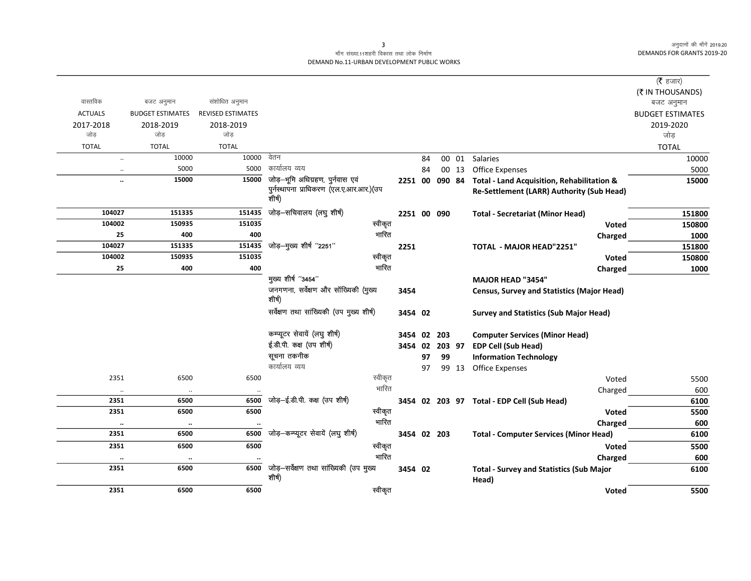## माँग संख्या.11शहरी विकास तथा लोक निर्माण DEMAND No.11-URBAN DEVELOPMENT PUBLIC WORKS

| (₹ IN THOUSANDS)<br>वास्तविक<br>संशोधित अनुमान<br>बजट अनुमान<br>बजट अनुमान<br><b>ACTUALS</b><br>REVISED ESTIMATES<br><b>BUDGET ESTIMATES</b><br><b>BUDGET ESTIMATES</b><br>2017-2018<br>2019-2020<br>2018-2019<br>2018-2019<br>जोड़<br>जोड<br>जोड<br>जोड<br><b>TOTAL</b><br><b>TOTAL</b><br><b>TOTAL</b><br><b>TOTAL</b><br>वेतन<br>10000<br>10000<br>00 01 Salaries<br>10000<br>84<br>$\ldots$<br>कार्यालय व्यय<br>5000<br>5000<br><b>Office Expenses</b><br>5000<br>84<br>00 13<br>$\ldots$<br>जोड़-भूमि अधिग्रहण, पुर्नवास एवं<br>15000<br>15000<br>2251 00<br>Total - Land Acquisition, Rehabilitation &<br>090 84<br>15000<br>$\ddot{\phantom{a}}$<br>पुर्नस्थापना प्राधिकरण (एल.ए.आर.आर.)(उप<br>Re-Settlement (LARR) Authority (Sub Head)<br>शीर्ष)<br>जोड़-सचिवालय (लघु शीर्ष)<br>151435<br>104027<br>151335<br>2251 00 090<br><b>Total - Secretariat (Minor Head)</b><br>151800<br>स्वीकृत<br>151035<br>104002<br>150935<br>150800<br>Voted<br>भारित<br>25<br>400<br>400<br>1000<br>Charged<br>जोड़-मुख्य शीर्ष "2251"<br>104027<br>151335<br>151435<br>151800<br>2251<br>TOTAL - MAJOR HEAD"2251"<br>स्वीकृत<br>151035<br>104002<br>150935<br>150800<br><b>Voted</b><br>भारित<br>25<br>400<br>400<br>1000<br>Charged |
|-------------------------------------------------------------------------------------------------------------------------------------------------------------------------------------------------------------------------------------------------------------------------------------------------------------------------------------------------------------------------------------------------------------------------------------------------------------------------------------------------------------------------------------------------------------------------------------------------------------------------------------------------------------------------------------------------------------------------------------------------------------------------------------------------------------------------------------------------------------------------------------------------------------------------------------------------------------------------------------------------------------------------------------------------------------------------------------------------------------------------------------------------------------------------------------------------------------------------------|
|                                                                                                                                                                                                                                                                                                                                                                                                                                                                                                                                                                                                                                                                                                                                                                                                                                                                                                                                                                                                                                                                                                                                                                                                                               |
|                                                                                                                                                                                                                                                                                                                                                                                                                                                                                                                                                                                                                                                                                                                                                                                                                                                                                                                                                                                                                                                                                                                                                                                                                               |
|                                                                                                                                                                                                                                                                                                                                                                                                                                                                                                                                                                                                                                                                                                                                                                                                                                                                                                                                                                                                                                                                                                                                                                                                                               |
|                                                                                                                                                                                                                                                                                                                                                                                                                                                                                                                                                                                                                                                                                                                                                                                                                                                                                                                                                                                                                                                                                                                                                                                                                               |
|                                                                                                                                                                                                                                                                                                                                                                                                                                                                                                                                                                                                                                                                                                                                                                                                                                                                                                                                                                                                                                                                                                                                                                                                                               |
|                                                                                                                                                                                                                                                                                                                                                                                                                                                                                                                                                                                                                                                                                                                                                                                                                                                                                                                                                                                                                                                                                                                                                                                                                               |
|                                                                                                                                                                                                                                                                                                                                                                                                                                                                                                                                                                                                                                                                                                                                                                                                                                                                                                                                                                                                                                                                                                                                                                                                                               |
|                                                                                                                                                                                                                                                                                                                                                                                                                                                                                                                                                                                                                                                                                                                                                                                                                                                                                                                                                                                                                                                                                                                                                                                                                               |
|                                                                                                                                                                                                                                                                                                                                                                                                                                                                                                                                                                                                                                                                                                                                                                                                                                                                                                                                                                                                                                                                                                                                                                                                                               |
|                                                                                                                                                                                                                                                                                                                                                                                                                                                                                                                                                                                                                                                                                                                                                                                                                                                                                                                                                                                                                                                                                                                                                                                                                               |
|                                                                                                                                                                                                                                                                                                                                                                                                                                                                                                                                                                                                                                                                                                                                                                                                                                                                                                                                                                                                                                                                                                                                                                                                                               |
|                                                                                                                                                                                                                                                                                                                                                                                                                                                                                                                                                                                                                                                                                                                                                                                                                                                                                                                                                                                                                                                                                                                                                                                                                               |
|                                                                                                                                                                                                                                                                                                                                                                                                                                                                                                                                                                                                                                                                                                                                                                                                                                                                                                                                                                                                                                                                                                                                                                                                                               |
|                                                                                                                                                                                                                                                                                                                                                                                                                                                                                                                                                                                                                                                                                                                                                                                                                                                                                                                                                                                                                                                                                                                                                                                                                               |
|                                                                                                                                                                                                                                                                                                                                                                                                                                                                                                                                                                                                                                                                                                                                                                                                                                                                                                                                                                                                                                                                                                                                                                                                                               |
| मुख्य शीर्ष "3454"<br><b>MAJOR HEAD "3454"</b>                                                                                                                                                                                                                                                                                                                                                                                                                                                                                                                                                                                                                                                                                                                                                                                                                                                                                                                                                                                                                                                                                                                                                                                |
| जनगणना, सर्वेक्षण और सॉख्यिकी (मुख्य<br>3454<br><b>Census, Survey and Statistics (Major Head)</b><br>शीर्ष)                                                                                                                                                                                                                                                                                                                                                                                                                                                                                                                                                                                                                                                                                                                                                                                                                                                                                                                                                                                                                                                                                                                   |
| सर्वेक्षण तथा सांख्यिकी (उप मुख्य शीर्ष)<br>3454 02<br><b>Survey and Statistics (Sub Major Head)</b>                                                                                                                                                                                                                                                                                                                                                                                                                                                                                                                                                                                                                                                                                                                                                                                                                                                                                                                                                                                                                                                                                                                          |
| कम्प्यूटर सेवायें (लघु शीर्ष)<br>02<br><b>Computer Services (Minor Head)</b><br>3454<br>203                                                                                                                                                                                                                                                                                                                                                                                                                                                                                                                                                                                                                                                                                                                                                                                                                                                                                                                                                                                                                                                                                                                                   |
| ई.डी.पी. कक्ष (उप शीर्ष)<br>3454 02<br>203 97<br><b>EDP Cell (Sub Head)</b>                                                                                                                                                                                                                                                                                                                                                                                                                                                                                                                                                                                                                                                                                                                                                                                                                                                                                                                                                                                                                                                                                                                                                   |
| सूचना तकनीक<br>97<br>99<br><b>Information Technology</b>                                                                                                                                                                                                                                                                                                                                                                                                                                                                                                                                                                                                                                                                                                                                                                                                                                                                                                                                                                                                                                                                                                                                                                      |
| कार्यालय व्यय<br>97<br>99 13 Office Expenses                                                                                                                                                                                                                                                                                                                                                                                                                                                                                                                                                                                                                                                                                                                                                                                                                                                                                                                                                                                                                                                                                                                                                                                  |
| स्वीकृत<br>2351<br>6500<br>6500<br>5500<br>Voted                                                                                                                                                                                                                                                                                                                                                                                                                                                                                                                                                                                                                                                                                                                                                                                                                                                                                                                                                                                                                                                                                                                                                                              |
| भारित<br>600<br>Charged<br>$\ldots$<br>$\ldots$                                                                                                                                                                                                                                                                                                                                                                                                                                                                                                                                                                                                                                                                                                                                                                                                                                                                                                                                                                                                                                                                                                                                                                               |
| जोड़-ई.डी.पी. कक्ष (उप शीर्ष)<br>6500<br>2351<br>6500<br>3454 02 203 97 Total - EDP Cell (Sub Head)<br>6100                                                                                                                                                                                                                                                                                                                                                                                                                                                                                                                                                                                                                                                                                                                                                                                                                                                                                                                                                                                                                                                                                                                   |
| स्वीकृत<br>6500<br>2351<br>6500<br>5500<br>Voted                                                                                                                                                                                                                                                                                                                                                                                                                                                                                                                                                                                                                                                                                                                                                                                                                                                                                                                                                                                                                                                                                                                                                                              |
| भारित<br>600<br>Charged<br>$\ddotsc$<br>$\ddot{\phantom{a}}$                                                                                                                                                                                                                                                                                                                                                                                                                                                                                                                                                                                                                                                                                                                                                                                                                                                                                                                                                                                                                                                                                                                                                                  |
| जोड़-कम्प्यूटर सेवायें (लघु शीर्ष)<br>2351<br>6500<br>6500<br>6100<br>3454 02 203<br><b>Total - Computer Services (Minor Head)</b>                                                                                                                                                                                                                                                                                                                                                                                                                                                                                                                                                                                                                                                                                                                                                                                                                                                                                                                                                                                                                                                                                            |
| स्वीकृत<br>2351<br>6500<br>6500<br>5500<br>Voted                                                                                                                                                                                                                                                                                                                                                                                                                                                                                                                                                                                                                                                                                                                                                                                                                                                                                                                                                                                                                                                                                                                                                                              |
| भारित<br>600<br>Charged<br>$\ddotsc$<br>$\cdots$<br>$\ddot{\phantom{a}}$                                                                                                                                                                                                                                                                                                                                                                                                                                                                                                                                                                                                                                                                                                                                                                                                                                                                                                                                                                                                                                                                                                                                                      |
| जोड़-सर्वेक्षण तथा सांख्यिकी (उप मुख्य<br>6500<br>2351<br>6500<br>3454 02<br><b>Total - Survey and Statistics (Sub Major</b><br>6100<br>शीर्ष)<br>Head)                                                                                                                                                                                                                                                                                                                                                                                                                                                                                                                                                                                                                                                                                                                                                                                                                                                                                                                                                                                                                                                                       |
| स्वीकृत<br>2351<br>6500<br>6500<br>5500<br><b>Voted</b>                                                                                                                                                                                                                                                                                                                                                                                                                                                                                                                                                                                                                                                                                                                                                                                                                                                                                                                                                                                                                                                                                                                                                                       |

 $\overline{3}$